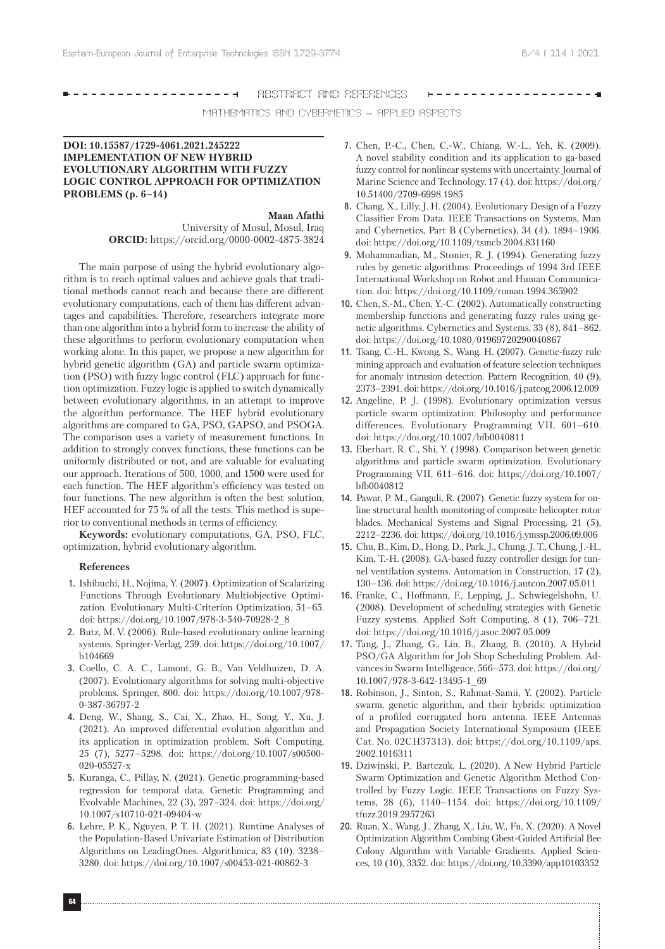#### ------------------**-**ABSTRACT AND REFERENCES

MATHEMATICS AND CYBERNETICS – APPLIED ASPECTS

# **DOI: 10.15587/1729-4061.2021.245222 IMPLEMENTATION OF NEW HYBRID EVOLUTIONARY ALGORITHM WITH FUZZY LOGIC CONTROL APPROACH FOR OPTIMIZATION PROBLEMS (p. 6–14)**

**Maan Afathi**

University of Mosul, Mosul, Iraq **ORCID:** https://orcid.org/0000-0002-4875-3824

The main purpose of using the hybrid evolutionary algorithm is to reach optimal values and achieve goals that traditional methods cannot reach and because there are different evolutionary computations, each of them has different advantages and capabilities. Therefore, researchers integrate more than one algorithm into a hybrid form to increase the ability of these algorithms to perform evolutionary computation when working alone. In this paper, we propose a new algorithm for hybrid genetic algorithm (GA) and particle swarm optimization (PSO) with fuzzy logic control (FLC) approach for function optimization. Fuzzy logic is applied to switch dynamically between evolutionary algorithms, in an attempt to improve the algorithm performance. The HEF hybrid evolutionary algorithms are compared to GA, PSO, GAPSO, and PSOGA. The comparison uses a variety of measurement functions. In addition to strongly convex functions, these functions can be uniformly distributed or not, and are valuable for evaluating our approach. Iterations of 500, 1000, and 1500 were used for each function. The HEF algorithm's efficiency was tested on four functions. The new algorithm is often the best solution, HEF accounted for 75 % of all the tests. This method is superior to conventional methods in terms of efficiency.

**Keywords:** evolutionary computations, GA, PSO, FLC, optimization, hybrid evolutionary algorithm.

### **References**

- 1. Ishibuchi, H., Nojima, Y. (2007). Optimization of Scalarizing Functions Through Evolutionary Multiobjective Optimization. Evolutionary Multi-Criterion Optimization, 51–65. doi: https://doi.org/10.1007/978-3-540-70928-2\_8
- 2. Butz, M. V. (2006). Rule-based evolutionary online learning systems. Springer-Verlag, 259. doi: https://doi.org/10.1007/ b104669
- 3. Coello, C. A. C., Lamont, G. B., Van Veldhuizen, D. A. (2007). Evolutionary algorithms for solving multi-objective problems. Springer, 800. doi: https://doi.org/10.1007/978- 0-387-36797-2
- 4. Deng, W., Shang, S., Cai, X., Zhao, H., Song, Y., Xu, J. (2021). An improved differential evolution algorithm and its application in optimization problem. Soft Computing, 25 (7), 5277–5298. doi: https://doi.org/10.1007/s00500- 020-05527-x
- 5. Kuranga, C., Pillay, N. (2021). Genetic programming-based regression for temporal data. Genetic Programming and Evolvable Machines, 22 (3), 297–324. doi: https://doi.org/ 10.1007/s10710-021-09404-w
- 6. Lehre, P. K., Nguyen, P. T. H. (2021). Runtime Analyses of the Population-Based Univariate Estimation of Distribution Algorithms on LeadingOnes. Algorithmica, 83 (10), 3238– 3280. doi: https://doi.org/10.1007/s00453-021-00862-3
- 7. Chen, P.-C., Chen, C.-W., Chiang, W.-L., Yeh, K. (2009). A novel stability condition and its application to ga-based fuzzy control for nonlinear systems with uncertainty. Journal of Marine Science and Technology, 17 (4). doi: https://doi.org/ 10.51400/2709-6998.1985
- 8. Chang, X., Lilly, J. H. (2004). Evolutionary Design of a Fuzzy Classifier From Data. IEEE Transactions on Systems, Man and Cybernetics, Part B (Cybernetics), 34 (4), 1894–1906. doi: https://doi.org/10.1109/tsmcb.2004.831160
- 9. Mohammadian, M., Stonier, R. J. (1994). Generating fuzzy rules by genetic algorithms. Proceedings of 1994 3rd IEEE International Workshop on Robot and Human Communication. doi: https://doi.org/10.1109/roman.1994.365902
- 10. Chen, S.-M., Chen, Y.-C. (2002). Automatically constructing membership functions and generating fuzzy rules using genetic algorithms. Cybernetics and Systems, 33 (8), 841–862. doi: https://doi.org/10.1080/01969720290040867
- 11. Tsang, C.-H., Kwong, S., Wang, H. (2007). Genetic-fuzzy rule mining approach and evaluation of feature selection techniques for anomaly intrusion detection. Pattern Recognition, 40 (9), 2373–2391. doi: https://doi.org/10.1016/j.patcog.2006.12.009
- 12. Angeline, P. J. (1998). Evolutionary optimization versus particle swarm optimization: Philosophy and performance differences. Evolutionary Programming VII, 601–610. doi: https://doi.org/10.1007/bfb0040811
- 13. Eberhart, R. C., Shi, Y. (1998). Comparison between genetic algorithms and particle swarm optimization. Evolutionary Programming VII, 611–616. doi: https://doi.org/10.1007/ bfb0040812
- 14. Pawar, P. M., Ganguli, R. (2007). Genetic fuzzy system for online structural health monitoring of composite helicopter rotor blades. Mechanical Systems and Signal Processing, 21 (5), 2212–2236. doi: https://doi.org/10.1016/j.ymssp.2006.09.006
- 15. Chu, B., Kim, D., Hong, D., Park, J., Chung, J. T., Chung, J.-H., Kim, T.-H. (2008). GA-based fuzzy controller design for tunnel ventilation systems. Automation in Construction, 17 (2), 130–136. doi: https://doi.org/10.1016/j.autcon.2007.05.011
- 16. Franke, C., Hoffmann, F., Lepping, J., Schwiegelshohn, U. (2008). Development of scheduling strategies with Genetic Fuzzy systems. Applied Soft Computing, 8 (1), 706–721. doi: https://doi.org/10.1016/j.asoc.2007.05.009
- 17. Tang, J., Zhang, G., Lin, B., Zhang, B. (2010). A Hybrid PSO/GA Algorithm for Job Shop Scheduling Problem. Advances in Swarm Intelligence, 566–573. doi: https://doi.org/ 10.1007/978-3-642-13495-1\_69
- 18. Robinson, J., Sinton, S., Rahmat-Samii, Y. (2002). Particle swarm, genetic algorithm, and their hybrids: optimization of a profiled corrugated horn antenna. IEEE Antennas and Propagation Society International Symposium (IEEE Cat. No. 02CH37313). doi: https://doi.org/10.1109/aps. 2002.1016311
- 19. Dziwinski, P., Bartczuk, L. (2020). A New Hybrid Particle Swarm Optimization and Genetic Algorithm Method Controlled by Fuzzy Logic. IEEE Transactions on Fuzzy Systems, 28 (6), 1140–1154. doi: https://doi.org/10.1109/ tfuzz.2019.2957263
- 20. Ruan, X., Wang, J., Zhang, X., Liu, W., Fu, X. (2020). A Novel Optimization Algorithm Combing Gbest-Guided Artificial Bee Colony Algorithm with Variable Gradients. Applied Sciences, 10 (10), 3352. doi: https://doi.org/10.3390/app10103352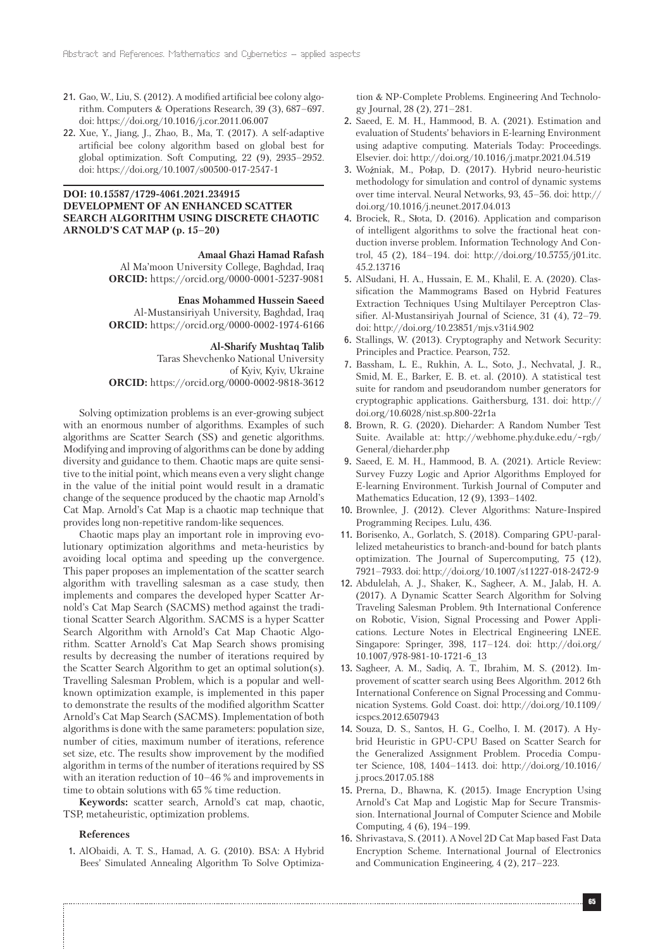- 21. Gao, W., Liu, S. (2012). A modified artificial bee colony algorithm. Computers & Operations Research, 39 (3), 687–697. doi: https://doi.org/10.1016/j.cor.2011.06.007
- 22. Xue, Y., Jiang, J., Zhao, B., Ma, T. (2017). A self-adaptive artificial bee colony algorithm based on global best for global optimization. Soft Computing, 22 (9), 2935–2952. doi: https://doi.org/10.1007/s00500-017-2547-1

# **DOI: 10.15587/1729-4061.2021.234915 DEVELOPMENT OF AN ENHANCED SCATTER SEARCH ALGORITHM USING DISCRETE CHAOTIC ARNOLD'S CAT MAP (p. 15–20)**

### **Amaal Ghazi Hamad Rafash**

Al Ma'moon University College, Baghdad, Iraq **ORCID:** https://orcid.org/0000-0001-5237-9081

**Enas Mohammed Hussein Saeed** Al-Mustansiriyah University, Baghdad, Iraq **ORCID:** https://orcid.org/0000-0002-1974-6166

#### **Al-Sharify Mushtaq Talib**

Taras Shevchenko National University of Kyiv, Kyiv, Ukraine **ORCID:** https://orcid.org/0000-0002-9818-3612

Solving optimization problems is an ever-growing subject with an enormous number of algorithms. Examples of such algorithms are Scatter Search (SS) and genetic algorithms. Modifying and improving of algorithms can be done by adding diversity and guidance to them. Chaotic maps are quite sensitive to the initial point, which means even a very slight change in the value of the initial point would result in a dramatic change of the sequence produced by the chaotic map Arnold's Cat Map. Arnold's Cat Map is a chaotic map technique that provides long non-repetitive random-like sequences.

Chaotic maps play an important role in improving evolutionary optimization algorithms and meta-heuristics by avoiding local optima and speeding up the convergence. This paper proposes an implementation of the scatter search algorithm with travelling salesman as a case study, then implements and compares the developed hyper Scatter Arnold's Cat Map Search (SACMS) method against the traditional Scatter Search Algorithm. SACMS is a hyper Scatter Search Algorithm with Arnold's Cat Map Chaotic Algorithm. Scatter Arnold's Cat Map Search shows promising results by decreasing the number of iterations required by the Scatter Search Algorithm to get an optimal solution(s). Travelling Salesman Problem, which is a popular and wellknown optimization example, is implemented in this paper to demonstrate the results of the modified algorithm Scatter Arnold's Cat Map Search (SACMS). Implementation of both algorithms is done with the same parameters: population size, number of cities, maximum number of iterations, reference set size, etc. The results show improvement by the modified algorithm in terms of the number of iterations required by SS with an iteration reduction of 10–46 % and improvements in time to obtain solutions with 65 % time reduction.

**Keywords:** scatter search, Arnold's cat map, chaotic, TSP, metaheuristic, optimization problems.

### **References**

1. AlObaidi, A. T. S., Hamad, A. G. (2010). BSA: A Hybrid Bees' Simulated Annealing Algorithm To Solve Optimiza-

tion & NP-Complete Problems. Engineering And Technology Journal, 28 (2), 271–281.

- 2. Saeed, E. M. H., Hammood, B. A. (2021). Estimation and evaluation of Students' behaviors in E-learning Environment using adaptive computing. Materials Today: Proceedings. Elsevier. doi: http://doi.org/10.1016/j.matpr.2021.04.519
- 3. Woźniak, M., Połap, D. (2017). Hybrid neuro-heuristic methodology for simulation and control of dynamic systems over time interval. Neural Networks, 93, 45–56. doi: http:// doi.org/10.1016/j.neunet.2017.04.013
- 4. Brociek, R., Słota, D. (2016). Application and comparison of intelligent algorithms to solve the fractional heat conduction inverse problem. Information Technology And Control, 45 (2), 184–194. doi: http://doi.org/10.5755/j01.itc. 45.2.13716
- 5. AlSudani, H. A., Hussain, E. M., Khalil, E. A. (2020). Classification the Mammograms Based on Hybrid Features Extraction Techniques Using Multilayer Perceptron Classifier. Al-Mustansiriyah Journal of Science, 31 (4), 72–79. doi: http://doi.org/10.23851/mjs.v31i4.902
- 6. Stallings, W. (2013). Cryptography and Network Security: Principles and Practice. Pearson, 752.
- 7. Bassham, L. E., Rukhin, A. L., Soto, J., Nechvatal, J. R., Smid, M. E., Barker, E. B. et. al. (2010). A statistical test suite for random and pseudorandom number generators for cryptographic applications. Gaithersburg, 131. doi: http:// doi.org/10.6028/nist.sp.800-22r1a
- 8. Brown, R. G. (2020). Dieharder: A Random Number Test Suite. Available at: http://webhome.phy.duke.edu/~rgb/ General/dieharder.php
- 9. Saeed, E. M. H., Hammood, B. A. (2021). Article Review: Survey Fuzzy Logic and Aprior Algorithms Employed for E-learning Environment. Turkish Journal of Computer and Mathematics Education, 12 (9), 1393–1402.
- 10. Brownlee, J. (2012). Clever Algorithms: Nature-Inspired Programming Recipes. Lulu, 436.
- 11. Borisenko, A., Gorlatch, S. (2018). Comparing GPU-parallelized metaheuristics to branch-and-bound for batch plants optimization. The Journal of Supercomputing, 75 (12), 7921–7933. doi: http://doi.org/10.1007/s11227-018-2472-9
- 12. Abdulelah, A. J., Shaker, K., Sagheer, A. M., Jalab, H. A. (2017). A Dynamic Scatter Search Algorithm for Solving Traveling Salesman Problem. 9th International Conference on Robotic, Vision, Signal Processing and Power Applications. Lecture Notes in Electrical Engineering LNEE. Singapore: Springer, 398, 117–124. doi: http://doi.org/ 10.1007/978-981-10-1721-6\_13
- 13. Sagheer, A. M., Sadiq, A. T., Ibrahim, M. S. (2012). Improvement of scatter search using Bees Algorithm. 2012 6th International Conference on Signal Processing and Communication Systems. Gold Coast. doi: http://doi.org/10.1109/ icspcs.2012.6507943
- 14. Souza, D. S., Santos, H. G., Coelho, I. M. (2017). A Hybrid Heuristic in GPU-CPU Based on Scatter Search for the Generalized Assignment Problem. Procedia Computer Science, 108, 1404–1413. doi: http://doi.org/10.1016/ j.procs.2017.05.188
- 15. Prerna, D., Bhawna, K. (2015). Image Encryption Using Arnold's Cat Map and Logistic Map for Secure Transmission. International Journal of Computer Science and Mobile Computing, 4 (6), 194–199.
- 16. Shrivastava, S. (2011). A Novel 2D Cat Map based Fast Data Encryption Scheme. International Journal of Electronics and Communication Engineering, 4 (2), 217–223.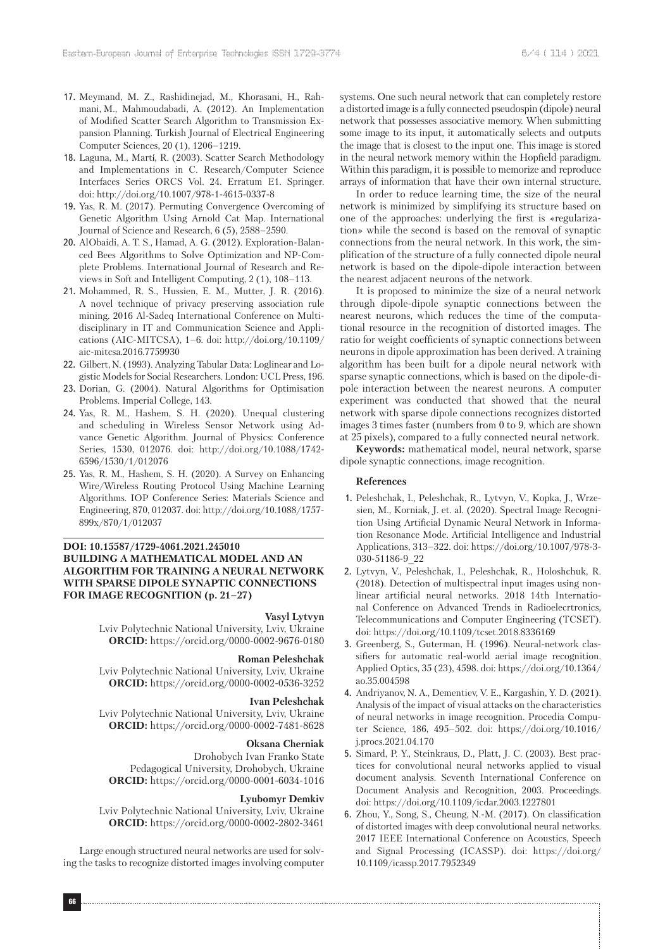- 17. Meymand, M. Z., Rashidinejad, M., Khorasani, H., Rahmani, M., Mahmoudabadi, A. (2012). An Implementation of Modified Scatter Search Algorithm to Transmission Expansion Planning. Turkish Journal of Electrical Engineering Computer Sciences, 20 (1), 1206–1219.
- 18. Laguna, M., Martí, R. (2003). Scatter Search Methodology and Implementations in C. Research/Computer Science Interfaces Series ORCS Vol. 24. Erratum E1. Springer. doi: http://doi.org/10.1007/978-1-4615-0337-8
- 19. Yas, R. M. (2017). Permuting Convergence Overcoming of Genetic Algorithm Using Arnold Cat Map. International Journal of Science and Research, 6 (5), 2588–2590.
- 20. AlObaidi, A. T. S., Hamad, A. G. (2012). Exploration-Balanced Bees Algorithms to Solve Optimization and NP-Complete Problems. International Journal of Research and Reviews in Soft and Intelligent Computing, 2 (1), 108–113.
- 21. Mohammed, R. S., Hussien, E. M., Mutter, J. R. (2016). A novel technique of privacy preserving association rule mining. 2016 Al-Sadeq International Conference on Multidisciplinary in IT and Communication Science and Applications (AIC-MITCSA), 1–6. doi: http://doi.org/10.1109/ aic-mitcsa.2016.7759930
- 22. Gilbert, N. (1993). Analyzing Tabular Data: Loglinear and Logistic Models for Social Researchers. London: UCL Press, 196.
- 23. Dorian, G. (2004). Natural Algorithms for Optimisation Problems. Imperial College, 143.
- 24. Yas, R. M., Hashem, S. H. (2020). Unequal clustering and scheduling in Wireless Sensor Network using Advance Genetic Algorithm. Journal of Physics: Conference Series, 1530, 012076. doi: http://doi.org/10.1088/1742- 6596/1530/1/012076
- 25. Yas, R. M., Hashem, S. H. (2020). A Survey on Enhancing Wire/Wireless Routing Protocol Using Machine Learning Algorithms. IOP Conference Series: Materials Science and Engineering, 870, 012037. doi: http://doi.org/10.1088/1757- 899x/870/1/012037

### **DOI: 10.15587/1729-4061.2021.245010 BUILDING A MATHEMATICAL MODEL AND AN ALGORITHM FOR TRAINING A NEURAL NETWORK WITH SPARSE DIPOLE SYNAPTIC CONNECTIONS FOR IMAGE RECOGNITION (p. 21–27)**

### **Vasyl Lytvyn**

Lviv Polytechnic National University, Lviv, Ukraine **ORCID:** https://orcid.org/0000-0002-9676-0180

### **Roman Peleshchak**

Lviv Polytechnic National University, Lviv, Ukraine **ORCID:** https://orcid.org/0000-0002-0536-3252

#### **Ivan Peleshchak**

Lviv Polytechnic National University, Lviv, Ukraine **ORCID:** https://orcid.org/0000-0002-7481-8628

#### **Oksana Cherniak**

Drohobych Ivan Franko State Pedagogical University, Drohobych, Ukraine **ORCID:** https://orcid.org/0000-0001-6034-1016

#### **Lyubomyr Demkiv**

Lviv Polytechnic National University, Lviv, Ukraine **ORCID:** https://orcid.org/0000-0002-2802-3461

Large enough structured neural networks are used for solving the tasks to recognize distorted images involving computer systems. One such neural network that can completely restore a distorted image is a fully connected pseudospin (dipole) neural network that possesses associative memory. When submitting some image to its input, it automatically selects and outputs the image that is closest to the input one. This image is stored in the neural network memory within the Hopfield paradigm. Within this paradigm, it is possible to memorize and reproduce arrays of information that have their own internal structure.

In order to reduce learning time, the size of the neural network is minimized by simplifying its structure based on one of the approaches: underlying the first is «regularization» while the second is based on the removal of synaptic connections from the neural network. In this work, the simplification of the structure of a fully connected dipole neural network is based on the dipole-dipole interaction between the nearest adjacent neurons of the network.

It is proposed to minimize the size of a neural network through dipole-dipole synaptic connections between the nearest neurons, which reduces the time of the computational resource in the recognition of distorted images. The ratio for weight coefficients of synaptic connections between neurons in dipole approximation has been derived. A training algorithm has been built for a dipole neural network with sparse synaptic connections, which is based on the dipole-dipole interaction between the nearest neurons. A computer experiment was conducted that showed that the neural network with sparse dipole connections recognizes distorted images 3 times faster (numbers from 0 to 9, which are shown at 25 pixels), compared to a fully connected neural network.

**Keywords:** mathematical model, neural network, sparse dipole synaptic connections, image recognition.

### **References**

- 1. Peleshchak, I., Peleshchak, R., Lytvyn, V., Kopka, J., Wrzesien, M., Korniak, J. et. al. (2020). Spectral Image Recognition Using Artificial Dynamic Neural Network in Information Resonance Mode. Artificial Intelligence and Industrial Applications, 313–322. doi: https://doi.org/10.1007/978-3- 030-51186-9\_22
- 2. Lytvyn, V., Peleshchak, I., Peleshchak, R., Holoshchuk, R. (2018). Detection of multispectral input images using nonlinear artificial neural networks. 2018 14th International Conference on Advanced Trends in Radioelecrtronics, Telecommunications and Computer Engineering (TCSET). doi: https://doi.org/10.1109/tcset.2018.8336169
- 3. Greenberg, S., Guterman, H. (1996). Neural-network classifiers for automatic real-world aerial image recognition. Applied Optics, 35 (23), 4598. doi: https://doi.org/10.1364/ ao.35.004598
- 4. Andriyanov, N. A., Dementiev, V. E., Kargashin, Y. D. (2021). Analysis of the impact of visual attacks on the characteristics of neural networks in image recognition. Procedia Computer Science, 186, 495–502. doi: https://doi.org/10.1016/ j.procs.2021.04.170
- 5. Simard, P. Y., Steinkraus, D., Platt, J. C. (2003). Best practices for convolutional neural networks applied to visual document analysis. Seventh International Conference on Document Analysis and Recognition, 2003. Proceedings. doi: https://doi.org/10.1109/icdar.2003.1227801
- 6. Zhou, Y., Song, S., Cheung, N.-M. (2017). On classification of distorted images with deep convolutional neural networks. 2017 IEEE International Conference on Acoustics, Speech and Signal Processing (ICASSP). doi: https://doi.org/ 10.1109/icassp.2017.7952349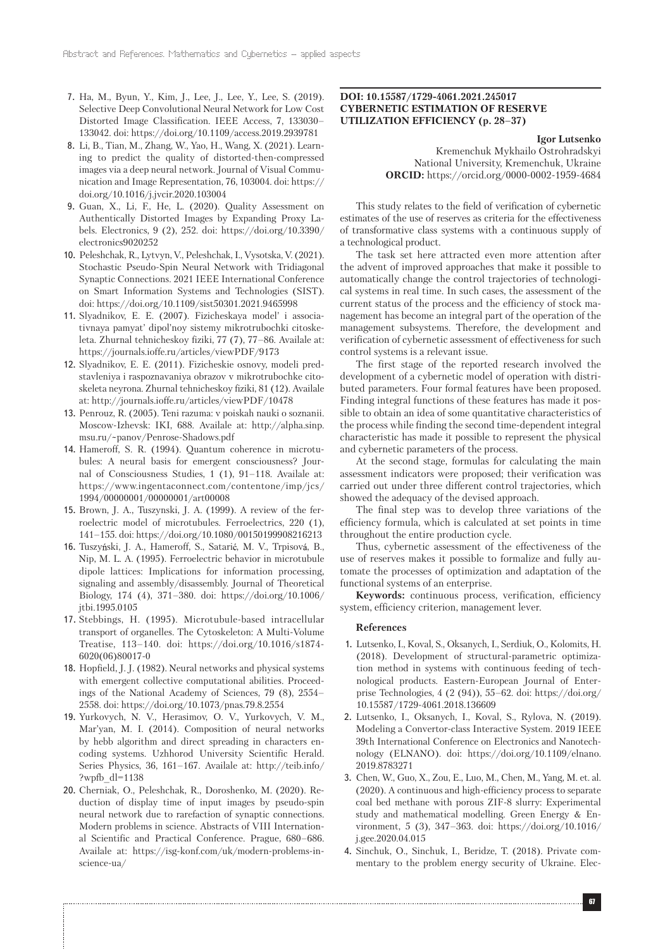- 7. Ha, M., Byun, Y., Kim, J., Lee, J., Lee, Y., Lee, S. (2019). Selective Deep Convolutional Neural Network for Low Cost Distorted Image Classification. IEEE Access, 7, 133030– 133042. doi: https://doi.org/10.1109/access.2019.2939781
- 8. Li, B., Tian, M., Zhang, W., Yao, H., Wang, X. (2021). Learning to predict the quality of distorted-then-compressed images via a deep neural network. Journal of Visual Communication and Image Representation, 76, 103004. doi: https:// doi.org/10.1016/j.jvcir.2020.103004
- 9. Guan, X., Li, F., He, L. (2020). Quality Assessment on Authentically Distorted Images by Expanding Proxy Labels. Electronics, 9 (2), 252. doi: https://doi.org/10.3390/ electronics9020252
- 10. Peleshchak, R., Lytvyn, V., Peleshchak, I., Vysotska, V. (2021). Stochastic Pseudo-Spin Neural Network with Tridiagonal Synaptic Connections. 2021 IEEE International Conference on Smart Information Systems and Technologies (SIST). doi: https://doi.org/10.1109/sist50301.2021.9465998
- 11. Slyadnikov, E. E. (2007). Fizicheskaya model' i associativnaya pamyat' dipol'noy sistemy mikrotrubochki citoskeleta. Zhurnal tehnicheskoy fiziki, 77 (7), 77–86. Availale at: https://journals.ioffe.ru/articles/viewPDF/9173
- 12. Slyadnikov, E. E. (2011). Fizicheskie osnovy, modeli predstavleniya i raspoznavaniya obrazov v mikrotrubochke citoskeleta neyrona. Zhurnal tehnicheskoy fiziki, 81 (12). Availale at: http://journals.ioffe.ru/articles/viewPDF/10478
- 13. Penrouz, R. (2005). Teni razuma: v poiskah nauki o soznanii. Moscow-Izhevsk: IKI, 688. Availale at: http://alpha.sinp. msu.ru/~panov/Penrose-Shadows.pdf
- 14. Hameroff, S. R. (1994). Quantum coherence in microtubules: A neural basis for emergent consciousness? Journal of Consciousness Studies, 1 (1), 91–118. Availale at: https://www.ingentaconnect.com/contentone/imp/jcs/ 1994/00000001/00000001/art00008
- 15. Brown, J. A., Tuszynski, J. A. (1999). A review of the ferroelectric model of microtubules. Ferroelectrics, 220 (1), 141–155. doi: https://doi.org/10.1080/00150199908216213
- 16. Tuszyński, J. A., Hameroff, S., Satarić, M. V., Trpisová, B., Nip, M. L. A. (1995). Ferroelectric behavior in microtubule dipole lattices: Implications for information processing, signaling and assembly/disassembly. Journal of Theoretical Biology, 174 (4), 371–380. doi: https://doi.org/10.1006/ jtbi.1995.0105
- 17. Stebbings, H. (1995). Microtubule-based intracellular transport of organelles. The Cytoskeleton: A Multi-Volume Treatise, 113–140. doi: https://doi.org/10.1016/s1874- 6020(06)80017-0
- 18. Hopfield, J. J. (1982). Neural networks and physical systems with emergent collective computational abilities. Proceedings of the National Academy of Sciences, 79 (8), 2554– 2558. doi: https://doi.org/10.1073/pnas.79.8.2554
- 19. Yurkovych, N. V., Herasimov, O. V., Yurkovych, V. M., Mar'yan, M. I. (2014). Composition of neural networks by hebb algorithm and direct spreading in characters encoding systems. Uzhhorod University Scientific Herald. Series Physics, 36, 161–167. Availale at: http://teib.info/ ?wpfb\_dl=1138
- 20. Chernіak, O., Peleshchak, R., Doroshenko, M. (2020). Reduction of display time of input images by pseudo-spin neural network due to rarefaction of synaptic connections. Modern problems in science. Abstracts of VIII International Scientific and Practical Conference. Prague, 680–686. Availale at: https://isg-konf.com/uk/modern-problems-inscience-ua/

### **DOI: 10.15587/1729-4061.2021.245017 CYBERNETIC ESTIMATION OF RESERVE UTILIZATION EFFICIENCY (p. 28–37)**

**Igor Lutsenko**

Kremenchuk Mykhailo Ostrohradskyi National University, Kremenchuk, Ukraine **ORCID:** https://orcid.org/0000-0002-1959-4684

This study relates to the field of verification of cybernetic estimates of the use of reserves as criteria for the effectiveness of transformative class systems with a continuous supply of a technological product.

The task set here attracted even more attention after the advent of improved approaches that make it possible to automatically change the control trajectories of technological systems in real time. In such cases, the assessment of the current status of the process and the efficiency of stock management has become an integral part of the operation of the management subsystems. Therefore, the development and verification of cybernetic assessment of effectiveness for such control systems is a relevant issue.

The first stage of the reported research involved the development of a cybernetic model of operation with distributed parameters. Four formal features have been proposed. Finding integral functions of these features has made it possible to obtain an idea of some quantitative characteristics of the process while finding the second time-dependent integral characteristic has made it possible to represent the physical and cybernetic parameters of the process.

At the second stage, formulas for calculating the main assessment indicators were proposed; their verification was carried out under three different control trajectories, which showed the adequacy of the devised approach.

The final step was to develop three variations of the efficiency formula, which is calculated at set points in time throughout the entire production cycle.

Thus, cybernetic assessment of the effectiveness of the use of reserves makes it possible to formalize and fully automate the processes of optimization and adaptation of the functional systems of an enterprise.

**Keywords:** continuous process, verification, efficiency system, efficiency criterion, management lever.

#### **References**

- 1. Lutsenko, I., Koval, S., Oksanych, I., Serdiuk, O., Kolomits, H. (2018). Development of structural-parametric optimization method in systems with continuous feeding of technological products. Eastern-European Journal of Enterprise Technologies, 4 (2 (94)), 55–62. doi: https://doi.org/ 10.15587/1729-4061.2018.136609
- 2. Lutsenko, I., Oksanych, I., Koval, S., Rylova, N. (2019). Modeling a Convertor-class Interactive System. 2019 IEEE 39th International Conference on Electronics and Nanotechnology (ELNANO). doi: https://doi.org/10.1109/elnano. 2019.8783271
- 3. Chen, W., Guo, X., Zou, E., Luo, M., Chen, M., Yang, M. et. al. (2020). A continuous and high-efficiency process to separate coal bed methane with porous ZIF-8 slurry: Experimental study and mathematical modelling. Green Energy & Environment, 5 (3), 347–363. doi: https://doi.org/10.1016/ j.gee.2020.04.015
- 4. Sinchuk, O., Sinchuk, I., Beridze, T. (2018). Private commentary to the problem energy security of Ukraine. Elec-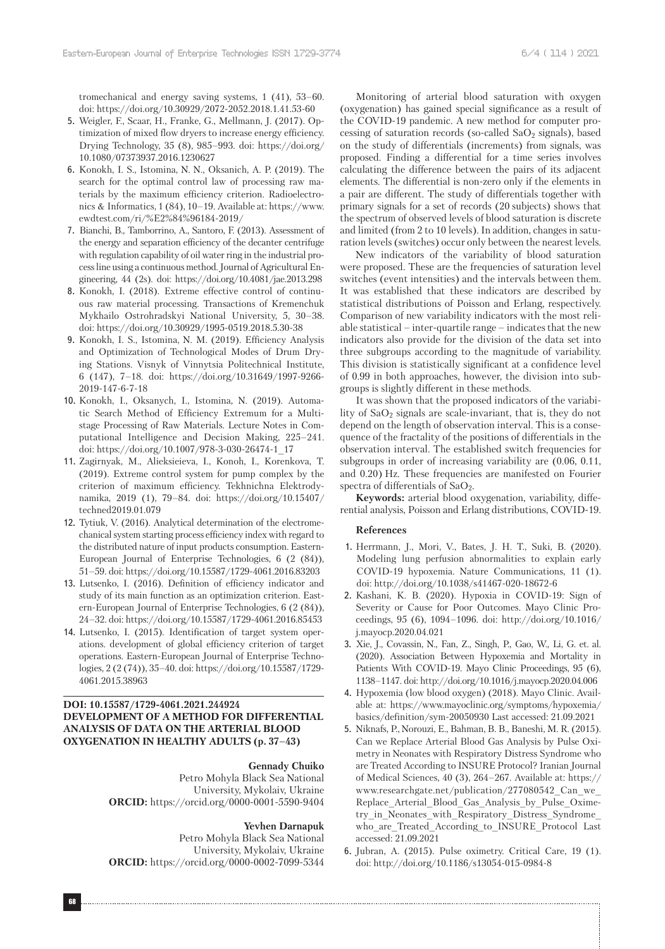tromechanical and energy saving systems, 1 (41), 53–60. doi: https://doi.org/10.30929/2072-2052.2018.1.41.53-60

- 5. Weigler, F., Scaar, H., Franke, G., Mellmann, J. (2017). Optimization of mixed flow dryers to increase energy efficiency. Drying Technology, 35 (8), 985–993. doi: https://doi.org/ 10.1080/07373937.2016.1230627
- 6. Konokh, I. S., Istomina, N. N., Oksanich, A. P. (2019). The search for the optimal control law of processing raw materials by the maximum efficiency criterion. Radioelectronics & Informatics, 1 (84), 10–19. Available at: https://www. ewdtest.com/ri/%E2%84%96184-2019/
- 7. Bianchi, B., Tamborrino, A., Santoro, F. (2013). Assessment of the energy and separation efficiency of the decanter centrifuge with regulation capability of oil water ring in the industrial process line using a continuous method. Journal of Agricultural Engineering, 44 (2s). doi: https://doi.org/10.4081/jae.2013.298
- 8. Konokh, I. (2018). Extreme effective control of continuous raw material processing. Transactions of Kremenchuk Mykhailo Ostrohradskyi National University, 5, 30–38. doi: https://doi.org/10.30929/1995-0519.2018.5.30-38
- 9. Konokh, I. S., Istomina, N. M. (2019). Efficiency Analysis and Optimization of Technological Modes of Drum Drying Stations. Visnyk of Vinnytsia Politechnical Institute, 6 (147), 7–18. doi: https://doi.org/10.31649/1997-9266- 2019-147-6-7-18
- 10. Konokh, I., Oksanych, I., Istomina, N. (2019). Automatic Search Method of Efficiency Extremum for a Multistage Processing of Raw Materials. Lecture Notes in Computational Intelligence and Decision Making, 225–241. doi: https://doi.org/10.1007/978-3-030-26474-1\_17
- 11. Zagirnyak, М., Alieksieieva, I., Konoh, I., Korenkova, T. (2019). Extreme control system for pump complex by the criterion of maximum efficiency. Tekhnichna Elektrodynamika, 2019 (1), 79–84. doi: https://doi.org/10.15407/ techned2019.01.079
- 12. Tytiuk, V. (2016). Analytical determination of the electromechanical system starting process efficiency index with regard to the distributed nature of input products consumption. Eastern-European Journal of Enterprise Technologies, 6 (2 (84)), 51–59. doi: https://doi.org/10.15587/1729-4061.2016.83203
- 13. Lutsenko, I. (2016). Definition of efficiency indicator and study of its main function as an optimization criterion. Eastern-European Journal of Enterprise Technologies, 6 (2 (84)), 24–32. doi: https://doi.org/10.15587/1729-4061.2016.85453
- 14. Lutsenko, I. (2015). Identification of target system operations. development of global efficiency criterion of target operations. Eastern-European Journal of Enterprise Technologies, 2 (2 (74)), 35–40. doi: https://doi.org/10.15587/1729- 4061.2015.38963

# **DOI: 10.15587/1729-4061.2021.244924 DEVELOPMENT OF A METHOD FOR DIFFERENTIAL ANALYSIS OF DATA ON THE ARTERIAL BLOOD OXYGENATION IN HEALTHY ADULTS (p. 37–43)**

### **Gennady Chuiko**

Petro Mohyla Black Sea National University, Mykolaiv, Ukraine **ORCID:** https://orcid.org/0000-0001-5590-9404

### **Yevhen Darnapuk**

Petro Mohyla Black Sea National University, Mykolaiv, Ukraine **ORCID:** https://orcid.org/0000-0002-7099-5344

Monitoring of arterial blood saturation with oxygen (oxygenation) has gained special significance as a result of the COVID-19 pandemic. A new method for computer processing of saturation records (so-called  $SaO<sub>2</sub>$  signals), based on the study of differentials (increments) from signals, was proposed. Finding a differential for a time series involves calculating the difference between the pairs of its adjacent elements. The differential is non-zero only if the elements in a pair are different. The study of differentials together with primary signals for a set of records (20 subjects) shows that the spectrum of observed levels of blood saturation is discrete and limited (from 2 to 10 levels). In addition, changes in saturation levels (switches) occur only between the nearest levels.

New indicators of the variability of blood saturation were proposed. These are the frequencies of saturation level switches (event intensities) and the intervals between them. It was established that these indicators are described by statistical distributions of Poisson and Erlang, respectively. Comparison of new variability indicators with the most reliable statistical – inter-quartile range – indicates that the new indicators also provide for the division of the data set into three subgroups according to the magnitude of variability. This division is statistically significant at a confidence level of 0.99 in both approaches, however, the division into subgroups is slightly different in these methods.

It was shown that the proposed indicators of the variability of  $SaO<sub>2</sub>$  signals are scale-invariant, that is, they do not depend on the length of observation interval. This is a consequence of the fractality of the positions of differentials in the observation interval. The established switch frequencies for subgroups in order of increasing variability are (0.06, 0.11, and 0.20) Hz. These frequencies are manifested on Fourier spectra of differentials of  $SaO<sub>2</sub>$ .

**Keywords:** arterial blood oxygenation, variability, differential analysis, Poisson and Erlang distributions, COVID-19.

#### **References**

- 1. Herrmann, J., Mori, V., Bates, J. H. T., Suki, B. (2020). Modeling lung perfusion abnormalities to explain early COVID-19 hypoxemia. Nature Communications, 11 (1). doi: http://doi.org/10.1038/s41467-020-18672-6
- 2. Kashani, K. B. (2020). Hypoxia in COVID-19: Sign of Severity or Cause for Poor Outcomes. Mayo Clinic Proceedings, 95 (6), 1094–1096. doi: http://doi.org/10.1016/ j.mayocp.2020.04.021
- 3. Xie, J., Covassin, N., Fan, Z., Singh, P., Gao, W., Li, G. et. al. (2020). Association Between Hypoxemia and Mortality in Patients With COVID-19. Mayo Clinic Proceedings, 95 (6), 1138–1147. doi: http://doi.org/10.1016/j.mayocp.2020.04.006
- 4. Hypoxemia (low blood oxygen) (2018). Mayo Clinic. Available at: https://www.mayoclinic.org/symptoms/hypoxemia/ basics/definition/sym-20050930 Last accessed: 21.09.2021
- 5. Niknafs, P., Norouzi, E., Bahman, B. B., Baneshi, M. R. (2015). Can we Replace Arterial Blood Gas Analysis by Pulse Oximetry in Neonates with Respiratory Distress Syndrome who are Treated According to INSURE Protocol? Iranian Journal of Medical Sciences, 40 (3), 264–267. Available at: https:// www.researchgate.net/publication/277080542\_Can\_we\_ Replace\_Arterial\_Blood\_Gas\_Analysis\_by\_Pulse\_Oximetry in Neonates with Respiratory Distress Syndrome who\_are\_Treated\_According\_to\_INSURE\_Protocol Last accessed: 21.09.2021
- 6. Jubran, A. (2015). Pulse oximetry. Critical Care, 19 (1). doi: http://doi.org/10.1186/s13054-015-0984-8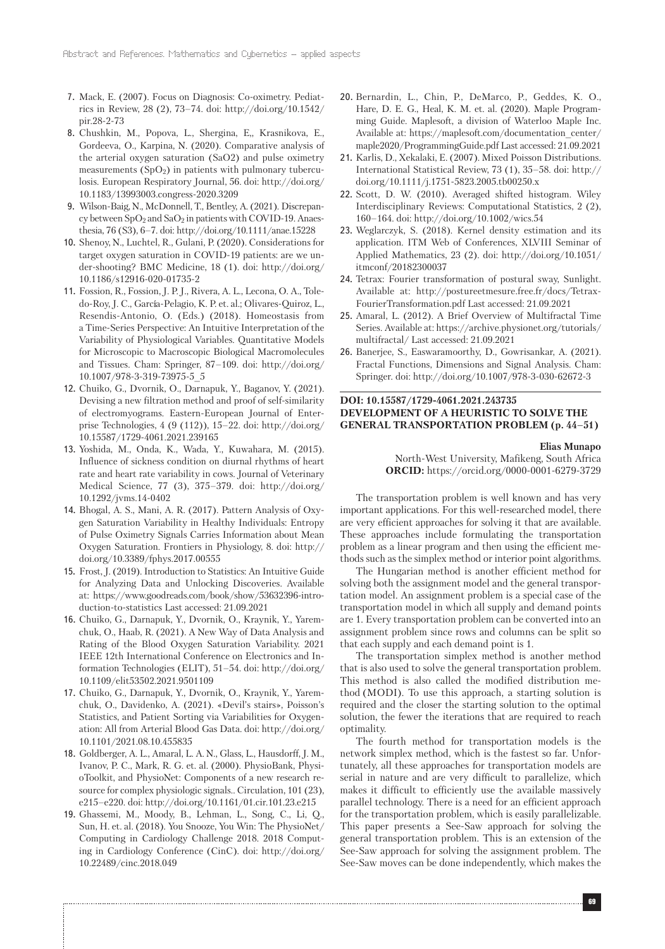- 7. Mack, E. (2007). Focus on Diagnosis: Co-oximetry. Pediatrics in Review, 28 (2), 73–74. doi: http://doi.org/10.1542/ pir.28-2-73
- 8. Chushkin, M., Popova, L., Shergina, E,, Krasnikova, E., Gordeeva, O., Karpina, N. (2020). Comparative analysis of the arterial oxygen saturation (SaO2) and pulse oximetry measurements  $(SpO<sub>2</sub>)$  in patients with pulmonary tuberculosis. European Respiratory Journal, 56. doi: http://doi.org/ 10.1183/13993003.congress-2020.3209
- 9. Wilson-Baig, N., McDonnell, T., Bentley, A. (2021). Discrepancy between  $SpO<sub>2</sub>$  and  $SaO<sub>2</sub>$  in patients with COVID-19. Anaesthesia, 76 (S3), 6–7. doi: http://doi.org/10.1111/anae.15228
- 10. Shenoy, N., Luchtel, R., Gulani, P. (2020). Considerations for target oxygen saturation in COVID-19 patients: are we under-shooting? BMC Medicine, 18 (1). doi: http://doi.org/ 10.1186/s12916-020-01735-2
- 11. Fossion, R., Fossion, J. P. J., Rivera, A. L., Lecona, O. A., Toledo-Roy, J. C., García-Pelagio, K. P. et. al.; Olivares-Quiroz, L., Resendis-Antonio, O. (Eds.) (2018). Homeostasis from a Time-Series Perspective: An Intuitive Interpretation of the Variability of Physiological Variables. Quantitative Models for Microscopic to Macroscopic Biological Macromolecules and Tissues. Cham: Springer, 87–109. doi: http://doi.org/ 10.1007/978-3-319-73975-5\_5
- 12. Chuiko, G., Dvornik, O., Darnapuk, Y., Baganov, Y. (2021). Devising a new filtration method and proof of self-similarity of electromyograms. Eastern-European Journal of Enterprise Technologies, 4 (9 (112)), 15–22. doi: http://doi.org/ 10.15587/1729-4061.2021.239165
- 13. Yoshida, M., Onda, K., Wada, Y., Kuwahara, M. (2015). Influence of sickness condition on diurnal rhythms of heart rate and heart rate variability in cows. Journal of Veterinary Medical Science, 77 (3), 375–379. doi: http://doi.org/ 10.1292/jvms.14-0402
- 14. Bhogal, A. S., Mani, A. R. (2017). Pattern Analysis of Oxygen Saturation Variability in Healthy Individuals: Entropy of Pulse Oximetry Signals Carries Information about Mean Oxygen Saturation. Frontiers in Physiology, 8. doi: http:// doi.org/10.3389/fphys.2017.00555
- 15. Frost, J. (2019). Introduction to Statistics: An Intuitive Guide for Analyzing Data and Unlocking Discoveries. Available at: https://www.goodreads.com/book/show/53632396-introduction-to-statistics Last accessed: 21.09.2021
- 16. Chuiko, G., Darnapuk, Y., Dvornik, O., Kraynik, Y., Yaremchuk, O., Haab, R. (2021). A New Way of Data Analysis and Rating of the Blood Oxygen Saturation Variability. 2021 IEEE 12th International Conference on Electronics and Information Technologies (ELIT), 51–54. doi: http://doi.org/ 10.1109/elit53502.2021.9501109
- 17. Chuiko, G., Darnapuk, Y., Dvornik, O., Kraynik, Y., Yaremchuk, O., Davidenko, A. (2021). «Devil's stairs», Poisson's Statistics, and Patient Sorting via Variabilities for Oxygenation: All from Arterial Blood Gas Data. doi: http://doi.org/ 10.1101/2021.08.10.455835
- 18. Goldberger, A. L., Amaral, L. A. N., Glass, L., Hausdorff, J. M., Ivanov, P. C., Mark, R. G. et. al. (2000). PhysioBank, PhysioToolkit, and PhysioNet: Components of a new research resource for complex physiologic signals.. Circulation, 101 (23), e215–e220. doi: http://doi.org/10.1161/01.cir.101.23.e215
- 19. Ghassemi, M., Moody, B., Lehman, L., Song, C., Li, Q., Sun, H. et. al. (2018). You Snooze, You Win: The PhysioNet/ Computing in Cardiology Challenge 2018. 2018 Computing in Cardiology Conference (CinC). doi: http://doi.org/ 10.22489/cinc.2018.049

- 20. Bernardin, L., Chin, P., DeMarco, P., Geddes, K. O., Hare, D. E. G., Heal, K. M. et. al. (2020). Maple Programming Guide. Maplesoft, a division of Waterloo Maple Inc. Available at: https://maplesoft.com/documentation\_center/ maple2020/ProgrammingGuide.pdf Last accessed: 21.09.2021
- 21. Karlis, D., Xekalaki, E. (2007). Mixed Poisson Distributions. International Statistical Review, 73 (1), 35–58. doi: http:// doi.org/10.1111/j.1751-5823.2005.tb00250.x
- 22. Scott, D. W. (2010). Averaged shifted histogram. Wiley Interdisciplinary Reviews: Computational Statistics, 2 (2), 160–164. doi: http://doi.org/10.1002/wics.54
- 23. Weglarczyk, S. (2018). Kernel density estimation and its application. ITM Web of Conferences, XLVIII Seminar of Applied Mathematics, 23 (2). doi: http://doi.org/10.1051/ itmconf/20182300037
- 24. Tetrax: Fourier transformation of postural sway, Sunlight. Available at: http://postureetmesure.free.fr/docs/Tetrax-FourierTransformation.pdf Last accessed: 21.09.2021
- 25. Amaral, L. (2012). A Brief Overview of Multifractal Time Series. Available at: https://archive.physionet.org/tutorials/ multifractal/ Last accessed: 21.09.2021
- 26. Banerjee, S., Easwaramoorthy, D., Gowrisankar, A. (2021). Fractal Functions, Dimensions and Signal Analysis. Cham: Springer. doi: http://doi.org/10.1007/978-3-030-62672-3

## **DOI: 10.15587/1729-4061.2021.243735 DEVELOPMENT OF A HEURISTIC TO SOLVE THE GENERAL TRANSPORTATION PROBLEM (p. 44–51)**

#### **Elias Munapo**

North-West University, Mafikeng, South Africa **ORCID:** https://orcid.org/0000-0001-6279-3729

The transportation problem is well known and has very important applications. For this well-researched model, there are very efficient approaches for solving it that are available. These approaches include formulating the transportation problem as a linear program and then using the efficient methods such as the simplex method or interior point algorithms.

The Hungarian method is another efficient method for solving both the assignment model and the general transportation model. An assignment problem is a special case of the transportation model in which all supply and demand points are 1. Every transportation problem can be converted into an assignment problem since rows and columns can be split so that each supply and each demand point is 1.

The transportation simplex method is another method that is also used to solve the general transportation problem. This method is also called the modified distribution method (MODI). To use this approach, a starting solution is required and the closer the starting solution to the optimal solution, the fewer the iterations that are required to reach optimality.

The fourth method for transportation models is the network simplex method, which is the fastest so far. Unfortunately, all these approaches for transportation models are serial in nature and are very difficult to parallelize, which makes it difficult to efficiently use the available massively parallel technology. There is a need for an efficient approach for the transportation problem, which is easily parallelizable. This paper presents a See-Saw approach for solving the general transportation problem. This is an extension of the See-Saw approach for solving the assignment problem. The See-Saw moves can be done independently, which makes the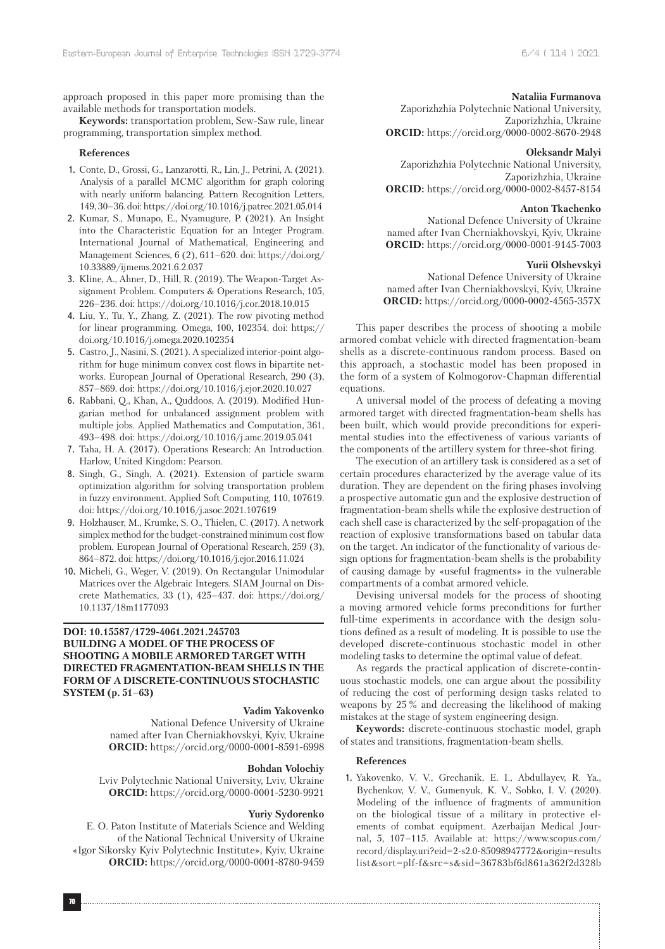approach proposed in this paper more promising than the available methods for transportation models.

**Keywords:** transportation problem, Sew-Saw rule, linear programming, transportation simplex method.

#### **References**

- 1. Conte, D., Grossi, G., Lanzarotti, R., Lin, J., Petrini, A. (2021). Analysis of a parallel MCMC algorithm for graph coloring with nearly uniform balancing. Pattern Recognition Letters, 149, 30–36. doi: https://doi.org/10.1016/j.patrec.2021.05.014
- 2. Kumar, S., Munapo, E., Nyamugure, P. (2021). An Insight into the Characteristic Equation for an Integer Program. International Journal of Mathematical, Engineering and Management Sciences, 6 (2), 611–620. doi: https://doi.org/ 10.33889/ijmems.2021.6.2.037
- 3. Kline, A., Ahner, D., Hill, R. (2019). The Weapon-Target Assignment Problem. Computers & Operations Research, 105, 226–236. doi: https://doi.org/10.1016/j.cor.2018.10.015
- 4. Liu, Y., Tu, Y., Zhang, Z. (2021). The row pivoting method for linear programming. Omega, 100, 102354. doi: https:// doi.org/10.1016/j.omega.2020.102354
- 5. Castro, J., Nasini, S. (2021). A specialized interior-point algorithm for huge minimum convex cost flows in bipartite networks. European Journal of Operational Research, 290 (3), 857–869. doi: https://doi.org/10.1016/j.ejor.2020.10.027
- 6. Rabbani, Q., Khan, A., Quddoos, A. (2019). Modified Hungarian method for unbalanced assignment problem with multiple jobs. Applied Mathematics and Computation, 361, 493–498. doi: https://doi.org/10.1016/j.amc.2019.05.041
- 7. Taha, H. A. (2017). Operations Research: An Introduction. Harlow, United Kingdom: Pearson.
- 8. Singh, G., Singh, A. (2021). Extension of particle swarm optimization algorithm for solving transportation problem in fuzzy environment. Applied Soft Computing, 110, 107619. doi: https://doi.org/10.1016/j.asoc.2021.107619
- 9. Holzhauser, M., Krumke, S. O., Thielen, C. (2017). A network simplex method for the budget-constrained minimum cost flow problem. European Journal of Operational Research, 259 (3), 864–872. doi: https://doi.org/10.1016/j.ejor.2016.11.024
- 10. Micheli, G., Weger, V. (2019). On Rectangular Unimodular Matrices over the Algebraic Integers. SIAM Journal on Discrete Mathematics, 33 (1), 425–437. doi: https://doi.org/ 10.1137/18m1177093

# **DOI: 10.15587/1729-4061.2021.245703 BUILDING A MODEL OF THE PROCESS OF SHOOTING A MOBILE ARMORED TARGET WITH DIRECTED FRAGMENTATION-BEAM SHELLS IN THE FORM OF A DISCRETE-CONTINUOUS STOCHASTIC SYSTEM (p. 51–63)**

### **Vadim Yakovenko**

National Defence University of Ukraine named after Ivan Cherniakhovskyi, Kyiv, Ukraine **ORCID:** https://orcid.org/0000-0001-8591-6998

### **Bohdan Volochiy**

Lviv Polytechnic National University, Lviv, Ukraine **ORCID:** https://orcid.org/0000-0001-5230-9921

### **Yuriy Sydorenko**

E. O. Paton Institute of Materials Science and Welding of the National Technical University of Ukraine «Igor Sikorsky Kyiv Polytechnic Institute», Kyiv, Ukraine **ORCID:** https://orcid.org/0000-0001-8780-9459

### **Nataliia Furmanova**

Zaporizhzhia Polytechnic National University, Zaporizhzhia, Ukraine **ORCID:** https://orcid.org/0000-0002-8670-2948

#### **Oleksandr Malyi**

Zaporizhzhia Polytechnic National University, Zaporizhzhia, Ukraine **ORCID:** https://orcid.org/0000-0002-8457-8154

#### **Anton Tkachenko**

National Defence University of Ukraine named after Ivan Cherniakhovskyi, Kyiv, Ukraine **ORCID:** https://orcid.org/0000-0001-9145-7003

### **Yurii Olshevskyi**

National Defence University of Ukraine named after Ivan Cherniakhovskyi, Kyiv, Ukraine **ORCID:** https://orcid.org/0000-0002-4565-357X

This paper describes the process of shooting a mobile armored combat vehicle with directed fragmentation-beam shells as a discrete-continuous random process. Based on this approach, a stochastic model has been proposed in the form of a system of Kolmogorov-Chapman differential equations.

A universal model of the process of defeating a moving armored target with directed fragmentation-beam shells has been built, which would provide preconditions for experimental studies into the effectiveness of various variants of the components of the artillery system for three-shot firing.

The execution of an artillery task is considered as a set of certain procedures characterized by the average value of its duration. They are dependent on the firing phases involving a prospective automatic gun and the explosive destruction of fragmentation-beam shells while the explosive destruction of each shell case is characterized by the self-propagation of the reaction of explosive transformations based on tabular data on the target. An indicator of the functionality of various design options for fragmentation-beam shells is the probability of causing damage by «useful fragments» in the vulnerable compartments of a combat armored vehicle.

Devising universal models for the process of shooting a moving armored vehicle forms preconditions for further full-time experiments in accordance with the design solutions defined as a result of modeling. It is possible to use the developed discrete-continuous stochastic model in other modeling tasks to determine the optimal value of defeat.

As regards the practical application of discrete-continuous stochastic models, one can argue about the possibility of reducing the cost of performing design tasks related to weapons by 25 % and decreasing the likelihood of making mistakes at the stage of system engineering design.

**Keywords:** discrete-continuous stochastic model, graph of states and transitions, fragmentation-beam shells.

#### **References**

1. Yakovenko, V. V., Grechanik, E. I., Abdullayev, R. Ya., Bychenkov, V. V., Gumenyuk, K. V., Sobko, I. V. (2020). Modeling of the influence of fragments of ammunition on the biological tissue of a military in protective elements of combat equipment. Azerbaijan Medical Journal, 5, 107–115. Available at: https://www.scopus.com/ record/display.uri?eid=2-s2.0-85098947772&origin=results list&sort=plf-f&src=s&sid=36783bf6d861a362f2d328b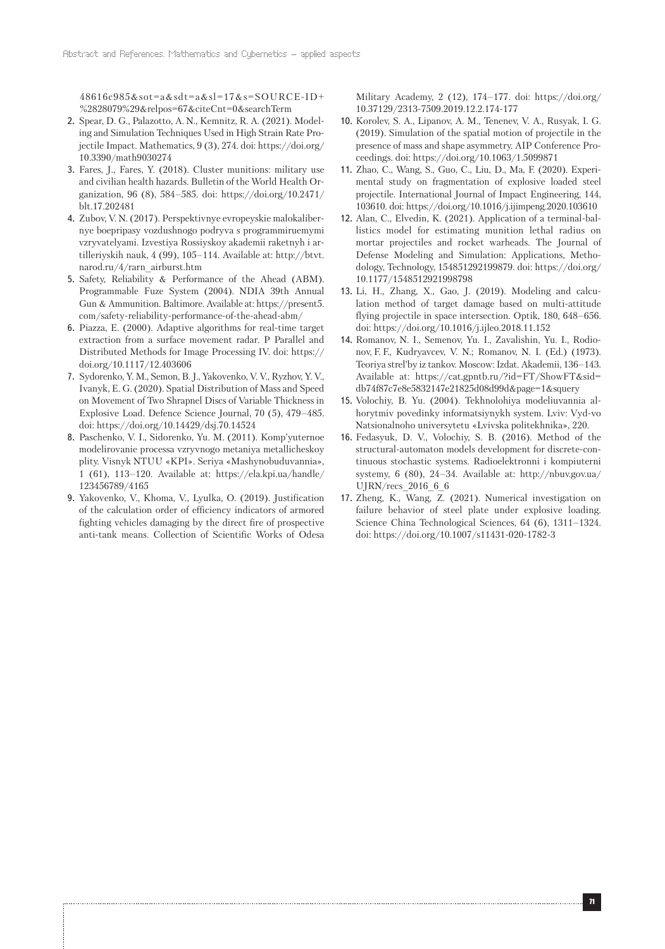48616c985&sot=a&sdt=a&sl=17&s=SOURCE-ID+ %2828079%29&relpos=67&citeCnt=0&searchTerm

- 2. Spear, D. G., Palazotto, A. N., Kemnitz, R. A. (2021). Modeling and Simulation Techniques Used in High Strain Rate Projectile Impact. Mathematics, 9 (3), 274. doi: https://doi.org/ 10.3390/math9030274
- 3. Fares, J., Fares, Y. (2018). Cluster munitions: military use and civilian health hazards. Bulletin of the World Health Organization, 96 (8), 584–585. doi: https://doi.org/10.2471/ blt.17.202481
- 4. Zubov, V. N. (2017). Perspektivnye evropeyskie malokalibernye boepripasy vozdushnogo podryva s programmiruemymi vzryvatelyami. Izvestiya Rossiyskoy akademii raketnyh i artilleriyskih nauk, 4 (99), 105–114. Available at: http://btvt. narod.ru/4/rarn\_airburst.htm
- 5. Safety, Reliability & Performance of the Ahead (ABM). Programmable Fuze System (2004). NDIA 39th Annual Gun & Ammunition. Baltimore. Available at: https://present5. com/safety-reliability-performance-of-the-ahead-abm/
- 6. Piazza, E. (2000). Adaptive algorithms for real-time target extraction from a surface movement radar. P Parallel and Distributed Methods for Image Processing IV. doi: https:// doi.org/10.1117/12.403606
- 7. Sydorenko, Y. M., Semon, B. J., Yakovenko, V. V., Ryzhov, Y. V., Ivanyk, E. G. (2020). Spatial Distribution of Mass and Speed on Movement of Two Shrapnel Discs of Variable Thickness in Explosive Load. Defence Science Journal, 70 (5), 479–485. doi: https://doi.org/10.14429/dsj.70.14524
- 8. Paschenko, V. I., Sidorenko, Yu. M. (2011). Komp'yuternoe modelirovanie processa vzryvnogo metaniya metallicheskoy plity. Visnyk NTUU «KPI». Seriya «Mashynobuduvannia», 1 (61), 113–120. Available at: https://ela.kpi.ua/handle/ 123456789/4165
- 9. Yakovenko, V., Khoma, V., Lyulka, O. (2019). Justification of the calculation order of efficiency indicators of armored fighting vehicles damaging by the direct fire of prospective anti-tank means. Collection of Scientific Works of Odesa

Military Academy, 2 (12), 174–177. doi: https://doi.org/ 10.37129/2313-7509.2019.12.2.174-177

- 10. Korolev, S. A., Lipanov, A. M., Tenenev, V. A., Rusyak, I. G. (2019). Simulation of the spatial motion of projectile in the presence of mass and shape asymmetry. AIP Conference Proceedings. doi: https://doi.org/10.1063/1.5099871
- 11. Zhao, C., Wang, S., Guo, C., Liu, D., Ma, F. (2020). Experimental study on fragmentation of explosive loaded steel projectile. International Journal of Impact Engineering, 144, 103610. doi: https://doi.org/10.1016/j.ijimpeng.2020.103610
- 12. Alan, C., Elvedin, K. (2021). Application of a terminal-ballistics model for estimating munition lethal radius on mortar projectiles and rocket warheads. The Journal of Defense Modeling and Simulation: Applications, Methodology, Technology, 154851292199879. doi: https://doi.org/ 10.1177/1548512921998798
- 13. Li, H., Zhang, X., Gao, J. (2019). Modeling and calculation method of target damage based on multi-attitude flying projectile in space intersection. Optik, 180, 648–656. doi: https://doi.org/10.1016/j.ijleo.2018.11.152
- 14. Romanov, N. I., Semenov, Yu. I., Zavalishin, Yu. I., Rodionov, F. F., Kudryavcev, V. N.; Romanov, N. I. (Ed.) (1973). Teoriya strel'by iz tankov. Moscow: Izdat. Akademii, 136–143. Available at: https://cat.gpntb.ru/?id=FT/ShowFT&sid= db74f87c7e8e5832147e21825d08d99d&page=1&squery
- 15. Volochiy, B. Yu. (2004). Tekhnolohiya modeliuvannia alhorytmiv povedinky informatsiynykh system. Lviv: Vyd-vo Natsionalnoho universytetu «Lvivska politekhnika», 220.
- 16. Fedasyuk, D. V., Volochiy, S. B. (2016). Method of the structural-automaton models development for discrete-continuous stochastic systems. Radioelektronni i kompiuterni systemy, 6 (80), 24–34. Available at: http://nbuv.gov.ua/ UJRN/recs 2016 6 6
- 17. Zheng, K., Wang, Z. (2021). Numerical investigation on failure behavior of steel plate under explosive loading. Science China Technological Sciences, 64 (6), 1311–1324. doi: https://doi.org/10.1007/s11431-020-1782-3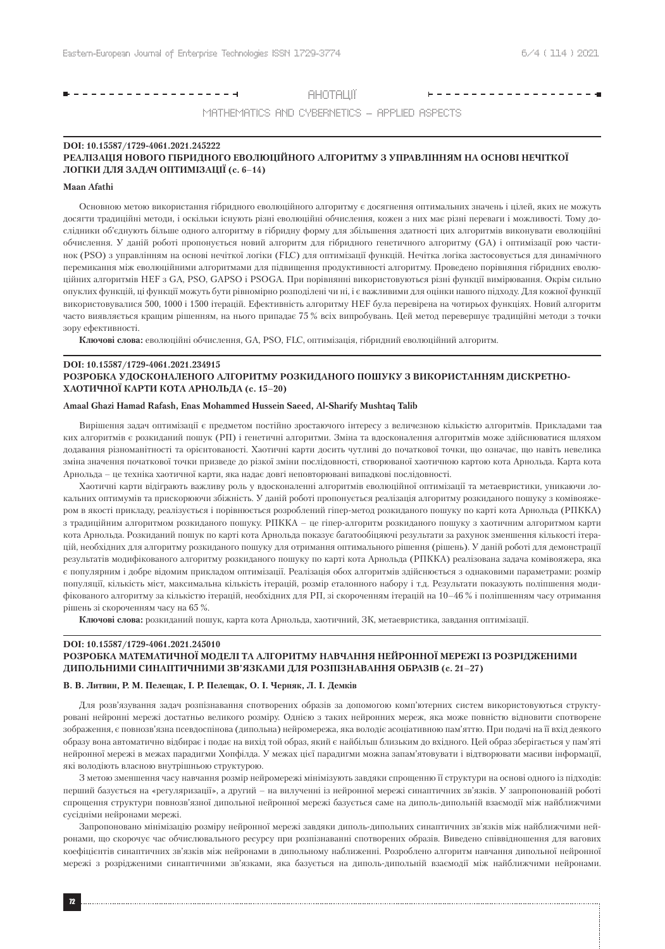# 

**АНОТАЦІЇ** 

MATHEMATICS AND CYBERNETICS – APPLIED ASPECTS

### **DOI: 10.15587/1729-4061.2021.245222 РЕАЛІЗАЦІЯ НОВОГО ГІБРИДНОГО ЕВОЛЮЦІЙНОГО АЛГОРИТМУ З УПРАВЛІННЯМ НА ОСНОВІ НЕЧІТКОЇ ЛОГІКИ ДЛЯ ЗАДАЧ ОПТИМІЗАЦІЇ (c. 6–14)**

### **Maan Afathi**

Основною метою використання гібридного еволюційного алгоритму є досягнення оптимальних значень і цілей, яких не можуть досягти традиційні методи, і оскільки існують різні еволюційні обчислення, кожен з них має різні переваги і можливості. Тому дослідники об'єднують більше одного алгоритму в гібридну форму для збільшення здатності цих алгоритмів виконувати еволюційні обчислення. У даній роботі пропонується новий алгоритм для гібридного генетичного алгоритму (GA) і оптимізації рою частинок (PSO) з управлінням на основі нечіткої логіки (FLC) для оптимізації функцій. Нечітка логіка застосовується для динамічного перемикання між еволюційними алгоритмами для підвищення продуктивності алгоритму. Проведено порівняння гібридних еволюційних алгоритмів HEF з GA, PSO, GAPSO і PSOGA. При порівнянні використовуються різні функції вимірювання. Окрім сильно опуклих функцій, ці функції можуть бути рівномірно розподілені чи ні, і є важливими для оцінки нашого підходу. Для кожної функції використовувалися 500, 1000 і 1500 ітерацій. Ефективність алгоритму HEF була перевірена на чотирьох функціях. Новий алгоритм часто виявляється кращим рішенням, на нього припадає 75 % всіх випробувань. Цей метод перевершує традиційні методи з точки зору ефективності.

**Ключові слова:** еволюційні обчислення, GA, PSO, FLC, оптимізація, гібридний еволюційний алгоритм.

### **DOI: 10.15587/1729-4061.2021.234915**

### **РОЗРОБКА УДОСКОНАЛЕНОГО АЛГОРИТМУ РОЗКИДАНОГО ПОШУКУ З ВИКОРИСТАННЯМ ДИСКРЕТНО-ХАОТИЧНОЇ КАРТИ КОТА АРНОЛЬДА (c. 15–20)**

#### **Amaal Ghazi Hamad Rafash, Enas Mohammed Hussein Saeed, Al-Sharify Mushtaq Talib**

Вирішення задач оптимізації є предметом постійно зростаючого інтересу з величезною кількістю алгоритмів. Прикладами таа ких алгоритмів є розкиданий пошук (РП) і генетичні алгоритми. Зміна та вдосконалення алгоритмів може здійснюватися шляхом додавання різноманітності та орієнтованості. Хаотичні карти досить чутливі до початкової точки, що означає, що навіть невелика зміна значення початкової точки призведе до різкої зміни послідовності, створюваної хаотичною картою кота Арнольда. Карта кота Арнольда – це техніка хаотичної карти, яка надає довгі неповторювані випадкові послідовності.

Хаотичні карти відіграють важливу роль у вдосконаленні алгоритмів еволюційної оптимізації та метаевристики, уникаючи локальних оптимумів та прискорюючи збіжність. У даній роботі пропонується реалізація алгоритму розкиданого пошуку з комівояжером в якості прикладу, реалізується і порівнюється розроблений гіпер-метод розкиданого пошуку по карті кота Арнольда (РПККА) з традиційним алгоритмом розкиданого пошуку. РПККА – це гіпер-алгоритм розкиданого пошуку з хаотичним алгоритмом карти кота Арнольда. Розкиданий пошук по карті кота Арнольда показує багатообіцяючі результати за рахунок зменшення кількості ітерацій, необхідних для алгоритму розкиданого пошуку для отримання оптимального рішення (рішень). У даній роботі для демонстрації результатів модифікованого алгоритму розкиданого пошуку по карті кота Арнольда (РПККА) реалізована задача комівояжера, яка є популярним і добре відомим прикладом оптимізації. Реалізація обох алгоритмів здійснюється з однаковими параметрами: розмір популяції, кількість міст, максимальна кількість ітерацій, розмір еталонного набору і т.д. Результати показують поліпшення модифікованого алгоритму за кількістю ітерацій, необхідних для РП, зі скороченням ітерацій на 10–46 % і поліпшенням часу отримання рішень зі скороченням часу на 65 %.

**Ключові слова:** розкиданий пошук, карта кота Арнольда, хаотичний, ЗК, метаевристика, завдання оптимізації.

# **DOI: 10.15587/1729-4061.2021.245010 РОЗРОБКА МАТЕМАТИЧНОЇ МОДЕЛІ ТА АЛГОРИТМУ НАВЧАННЯ НЕЙРОННОЇ МЕРЕЖІ ІЗ РОЗРІДЖЕНИМИ ДИПОЛЬНИМИ СИНАПТИЧНИМИ ЗВ'ЯЗКАМИ ДЛЯ РОЗПІЗНАВАННЯ ОБРАЗІВ (c. 21–27)**

#### **В. В. Литвин, Р. М. Пелещак, І. Р. Пелещак, О. І. Черняк, Л. І. Демків**

Для розв'язування задач розпізнавання спотворених образів за допомогою комп'ютерних систем використовуються структуровані нейронні мережі достатньо великого розміру. Однією з таких нейронних мереж, яка може повністю відновити спотворене зображення, є повнозв'язна псевдоспінова (дипольна) нейромережа, яка володіє асоціативною пам'яттю. При подачі на її вхід деякого образу вона автоматично відбирає і подає на вихід той образ, який є найбільш близьким до вхідного. Цей образ зберігається у пам'яті нейронної мережі в межах парадигми Хопфілда. У межах цієї парадигми можна запам'ятовувати і відтворювати масиви інформації, які володіють власною внутрішньою структурою.

З метою зменшення часу навчання розмір нейромережі мінімізують завдяки спрощенню її структури на основі одного із підходів: перший базується на «регуляризації», а другий – на вилученні із нейронної мережі синаптичних зв'язків. У запропонованій роботі спрощення структури повнозв'язної дипольної нейронної мережі базується саме на диполь-дипольній взаємодії між найближчими сусідніми нейронами мережі.

Запропоновано мінімізацію розміру нейронної мережі завдяки диполь-дипольних синаптичних зв'язків між найближчими нейронами, що скорочує час обчислювального ресурсу при розпізнаванні спотворених образів. Виведено співвідношення для вагових коефіцієнтів синаптичних зв'язків між нейронами в дипольному наближенні. Розроблено алгоритм навчання дипольної нейронної мережі з розрідженими синаптичними зв'язками, яка базується на диполь-дипольній взаємодії між найближчими нейронами.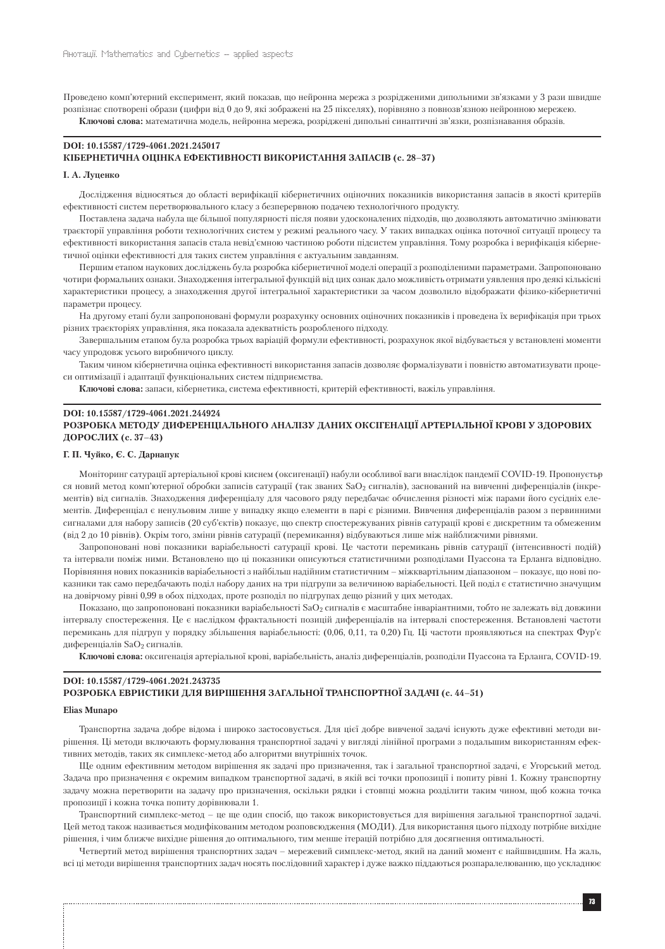Проведено комп'ютерний експеримент, який показав, що нейронна мережа з розрідженими дипольними зв'язками у 3 рази швидше розпізнає спотворені образи (цифри від 0 до 9, які зображені на 25 пікселях), порівняно з повнозв'язною нейронною мережею. **Ключові слова:** математична модель, нейронна мережа, розріджені дипольні синаптичні зв'язки, розпізнавання образів.

### **DOI: 10.15587/1729-4061.2021.245017 КІБЕРНЕТИЧНА ОЦІНКА ЕФЕКТИВНОСТІ ВИКОРИСТАННЯ ЗАПАСІВ (c. 28–37)**

#### **І. А. Луценко**

Дослідження відносяться до області верифікації кібернетичних оціночних показників використання запасів в якості критеріїв ефективності систем перетворювального класу з безперервною подачею технологічного продукту.

Поставлена задача набула ще більшої популярності після появи удосконалених підходів, що дозволяють автоматично змінювати траєкторії управління роботи технологічних систем у режимі реального часу. У таких випадках оцінка поточної ситуації процесу та ефективності використання запасів стала невід'ємною частиною роботи підсистем управління. Тому розробка і верифікація кібернетичної оцінки ефективності для таких систем управління є актуальним завданням.

Першим етапом наукових досліджень була розробка кібернетичної моделі операції з розподіленими параметрами. Запропоновано чотири формальних ознаки. Знаходження інтегральної функцій від цих ознак дало можливість отримати уявлення про деякі кількісні характеристики процесу, а знаходження другої інтегральної характеристики за часом дозволило відображати фізико-кібернетичні параметри процесу.

На другому етапі були запропоновані формули розрахунку основних оціночних показників і проведена їх верифікація при трьох різних траєкторіях управління, яка показала адекватність розробленого підходу.

Завершальним етапом була розробка трьох варіацій формули ефективності, розрахунок якої відбувається у встановлені моменти часу упродовж усього виробничого циклу.

Таким чином кібернетична оцінка ефективності використання запасів дозволяє формалізувати і повністю автоматизувати процеси оптимізації і адаптації функціональних систем підприємства.

**Ключові слова:** запаси, кібернетика, система ефективності, критерій ефективності, важіль управління.

# **DOI: 10.15587/1729-4061.2021.244924 РОЗРОБКА МЕТОДУ ДИФЕРЕНЦІАЛЬНОГО АНАЛІЗУ ДАНИХ ОКСІГЕНАЦІЇ АРТЕРІАЛЬНОЇ КРОВІ У ЗДОРОВИХ ДОРОСЛИХ (c. 37–43)**

### **Г. П. Чуйко, Є. С. Дарнапук**

Моніторинг сатурації артеріальної крові киснем (оксигенації) набули особливої ваги внаслідок пандемії COVID-19. Пропонуєтьр ся новий метод комп'ютерної обробки записів сатурації (так званих SaO<sub>2</sub> сигналів), заснований на вивченні диференціалів (інкрементів) від сигналів. Знаходження диференціалу для часового ряду передбачає обчислення різності між парами його сусідніх елементів. Диференціал є ненульовим лише у випадку якщо елементи в парі є різними. Вивчення диференціалів разом з первинними сигналами для набору записів (20 суб'єктів) показує, що спектр спостережуваних рівнів сатурації крові є дискретним та обмеженим (від 2 до 10 рівнів). Окрім того, зміни рівнів сатурації (перемикання) відбуваються лише між найближчими рівнями.

Запропоновані нові показники варіабельності сатурації крові. Це частоти перемикань рівнів сатурації (інтенсивності подій) та інтервали поміж ними. Встановлено що ці показники описуються статистичними розподілами Пуассона та Ерланга відповідно. Порівняння нових показників варіабельності з найбільш надійним статистичним – міжквартільним діапазоном – показує, що нові показники так само передбачають поділ набору даних на три підгрупи за величиною варіабельності. Цей поділ є статистично значущим на довірчому рівні 0,99 в обох підходах, проте розподіл по підгрупах дещо різний у цих методах.

Показано, що запропоновані показники варіабельності SaO<sub>2</sub> сигналів є масштабне інваріантними, тобто не залежать від довжини інтервалу спостереження. Це є наслідком фрактальності позицій диференціалів на інтервалі спостереження. Встановлені частоти перемикань для підгруп у порядку збільшення варіабельності: (0,06, 0,11, та 0,20) Гц. Ці частоти проявляються на спектрах Фур'є диференціалів SaO<sub>2</sub> сигналів.

**Ключові слова:** оксигенація артеріальної крові, варіабельність, аналіз диференціалів, розподіли Пуассона та Ерланга, COVID-19.

### **DOI: 10.15587/1729-4061.2021.243735**

### **РОЗРОБКА ЕВРИСТИКИ ДЛЯ ВИРІШЕННЯ ЗАГАЛЬНОЇ ТРАНСПОРТНОЇ ЗАДАЧІ (c. 44–51)**

### **Elias Munapo**

Транспортна задача добре відома і широко застосовується. Для цієї добре вивченої задачі існують дуже ефективні методи вирішення. Ці методи включають формулювання транспортної задачі у вигляді лінійної програми з подальшим використанням ефективних методів, таких як симплекс-метод або алгоритми внутрішніх точок.

Ще одним ефективним методом вирішення як задачі про призначення, так і загальної транспортної задачі, є Угорський метод. Задача про призначення є окремим випадком транспортної задачі, в якій всі точки пропозиції і попиту рівні 1. Кожну транспортну задачу можна перетворити на задачу про призначення, оскільки рядки і стовпці можна розділити таким чином, щоб кожна точка пропозиції і кожна точка попиту дорівнювали 1.

Транспортний симплекс-метод – це ще один спосіб, що також використовується для вирішення загальної транспортної задачі. Цей метод також називається модифікованим методом розповсюдження (МОДИ). Для використання цього підходу потрібне вихідне рішення, і чим ближче вихідне рішення до оптимального, тим менше ітерацій потрібно для досягнення оптимальності.

Четвертий метод вирішення транспортних задач – мережевий симплекс-метод, який на даний момент є найшвидшим. На жаль, всі ці методи вирішення транспортних задач носять послідовний характер і дуже важко піддаються розпаралелюванню, що ускладнює